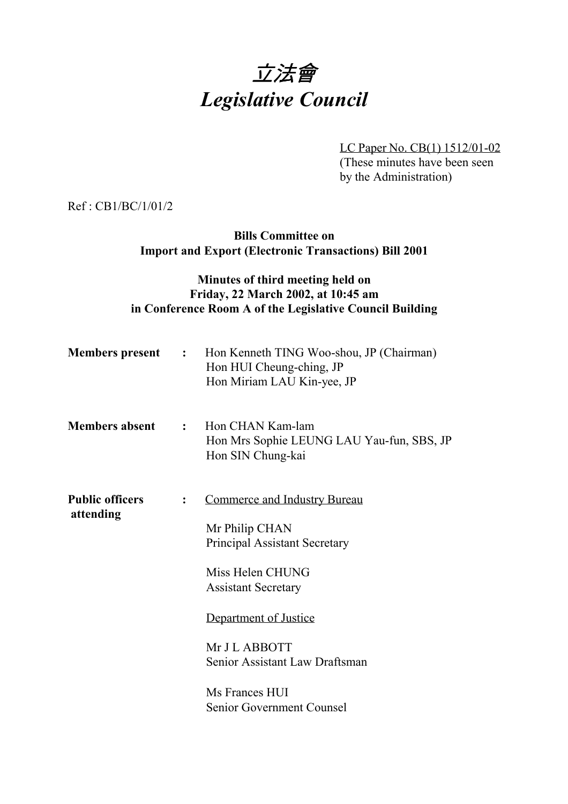# 立法會 *Legislative Council*

LC Paper No. CB(1) 1512/01-02

(These minutes have been seen by the Administration)

Ref : CB1/BC/1/01/2

**Bills Committee on Import and Export (Electronic Transactions) Bill 2001**

### **Minutes of third meeting held on Friday, 22 March 2002, at 10:45 am in Conference Room A of the Legislative Council Building**

| <b>Members</b> present              | $\mathbf{r}$ . The set of $\mathbf{r}$ | Hon Kenneth TING Woo-shou, JP (Chairman)<br>Hon HUI Cheung-ching, JP<br>Hon Miriam LAU Kin-yee, JP |
|-------------------------------------|----------------------------------------|----------------------------------------------------------------------------------------------------|
| <b>Members absent</b>               | $\mathbf{r}$                           | Hon CHAN Kam-lam<br>Hon Mrs Sophie LEUNG LAU Yau-fun, SBS, JP<br>Hon SIN Chung-kai                 |
| <b>Public officers</b><br>attending | $\ddot{\cdot}$                         | <b>Commerce and Industry Bureau</b>                                                                |
|                                     |                                        | Mr Philip CHAN                                                                                     |
|                                     |                                        | <b>Principal Assistant Secretary</b>                                                               |
|                                     |                                        | Miss Helen CHUNG                                                                                   |
|                                     |                                        | <b>Assistant Secretary</b>                                                                         |
|                                     |                                        |                                                                                                    |
|                                     |                                        | Department of Justice                                                                              |
|                                     |                                        | Mr J L ABBOTT                                                                                      |
|                                     |                                        | Senior Assistant Law Draftsman                                                                     |
|                                     |                                        | Ms Frances HUI                                                                                     |
|                                     |                                        | Senior Government Counsel                                                                          |
|                                     |                                        |                                                                                                    |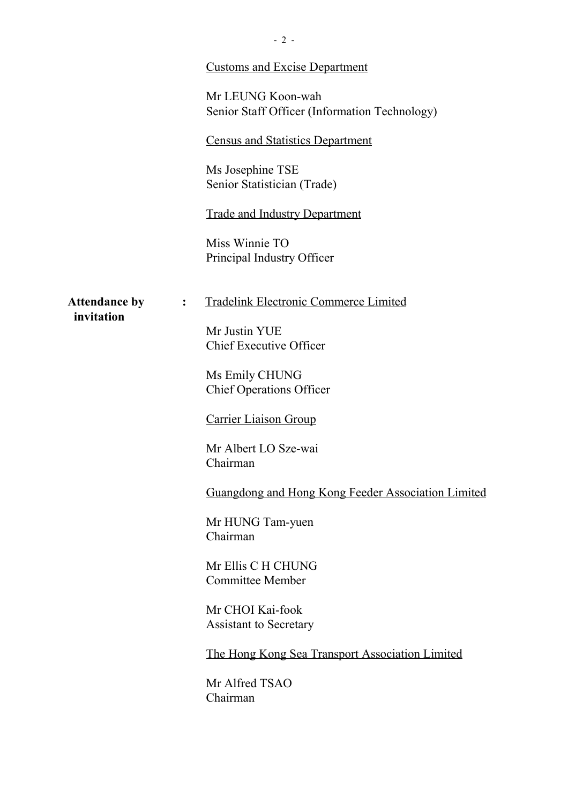|                                    | <b>Customs and Excise Department</b>                               |
|------------------------------------|--------------------------------------------------------------------|
|                                    | Mr LEUNG Koon-wah<br>Senior Staff Officer (Information Technology) |
|                                    | <b>Census and Statistics Department</b>                            |
|                                    | Ms Josephine TSE<br>Senior Statistician (Trade)                    |
|                                    | <b>Trade and Industry Department</b>                               |
|                                    | Miss Winnie TO<br>Principal Industry Officer                       |
| <b>Attendance by</b><br>invitation | Tradelink Electronic Commerce Limited<br>$\ddot{\cdot}$            |
|                                    | Mr Justin YUE<br><b>Chief Executive Officer</b>                    |
|                                    | Ms Emily CHUNG<br><b>Chief Operations Officer</b>                  |
|                                    | <b>Carrier Liaison Group</b>                                       |
|                                    | Mr Albert LO Sze-wai<br>Chairman                                   |
|                                    | Guangdong and Hong Kong Feeder Association Limited                 |
|                                    | Mr HUNG Tam-yuen<br>Chairman                                       |
|                                    | Mr Ellis C H CHUNG<br><b>Committee Member</b>                      |
|                                    | Mr CHOI Kai-fook<br><b>Assistant to Secretary</b>                  |
|                                    | The Hong Kong Sea Transport Association Limited                    |
|                                    | Mr Alfred TSAO<br>Chairman                                         |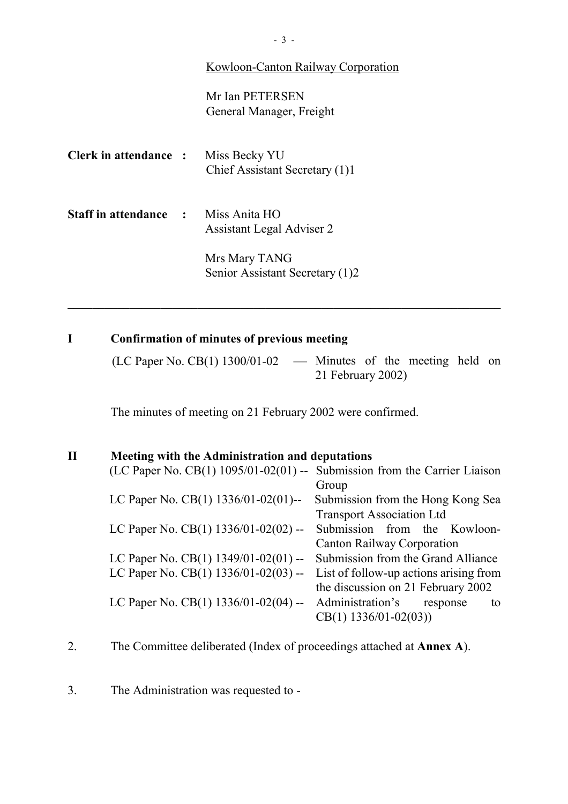#### Kowloon-Canton Railway Corporation

Mr Ian PETERSEN General Manager, Freight

| <b>Clerk in attendance :</b>   | Miss Becky YU<br>Chief Assistant Secretary (1)1  |
|--------------------------------|--------------------------------------------------|
| <b>Staff in attendance : :</b> | Miss Anita HO<br>Assistant Legal Adviser 2       |
|                                | Mrs Mary TANG<br>Senior Assistant Secretary (1)2 |

### **I Confirmation of minutes of previous meeting**

(LC Paper No. CB(1)  $1300/01-02$  — Minutes of the meeting held on 21 February 2002)

The minutes of meeting on 21 February 2002 were confirmed.

## **II Meeting with the Administration and deputations**

| (LC Paper No. CB $(1)$ 1095/01-02 $(01)$ -- Submission from the Carrier Liaison |                                        |
|---------------------------------------------------------------------------------|----------------------------------------|
|                                                                                 | Group                                  |
| LC Paper No. CB(1) 1336/01-02(01)--                                             | Submission from the Hong Kong Sea      |
|                                                                                 | <b>Transport Association Ltd</b>       |
| LC Paper No. CB(1) 1336/01-02(02) --                                            | Submission from the Kowloon-           |
|                                                                                 | <b>Canton Railway Corporation</b>      |
| LC Paper No. CB(1) $1349/01-02(01)$ --                                          | Submission from the Grand Alliance     |
| LC Paper No. CB(1) 1336/01-02(03) --                                            | List of follow-up actions arising from |
|                                                                                 | the discussion on 21 February 2002     |
| LC Paper No. CB(1) $1336/01-02(04)$ --                                          | Administration's<br>response<br>to     |
|                                                                                 | $CB(1)$ 1336/01-02(03))                |
|                                                                                 |                                        |

- 2. The Committee deliberated (Index of proceedings attached at **Annex A**).
- 3. The Administration was requested to -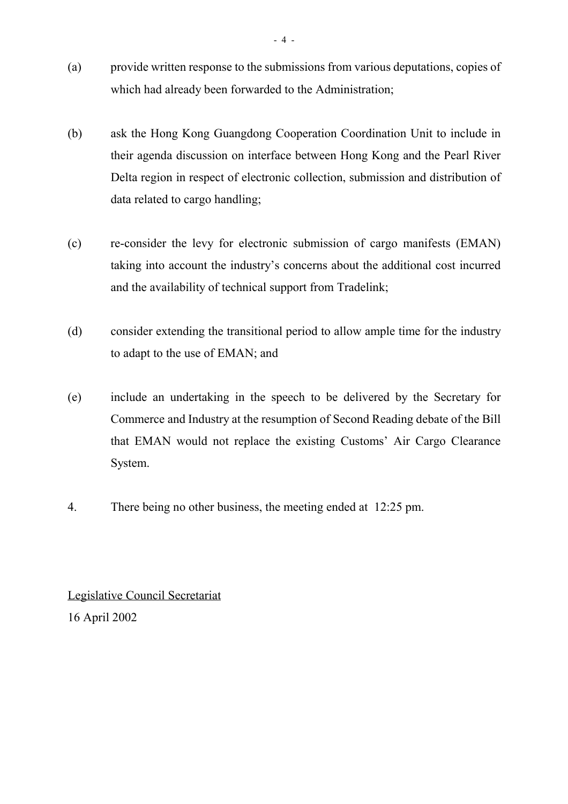- (a) provide written response to the submissions from various deputations, copies of which had already been forwarded to the Administration;
- (b) ask the Hong Kong Guangdong Cooperation Coordination Unit to include in their agenda discussion on interface between Hong Kong and the Pearl River Delta region in respect of electronic collection, submission and distribution of data related to cargo handling;
- (c) re-consider the levy for electronic submission of cargo manifests (EMAN) taking into account the industry's concerns about the additional cost incurred and the availability of technical support from Tradelink;
- (d) consider extending the transitional period to allow ample time for the industry to adapt to the use of EMAN; and
- (e) include an undertaking in the speech to be delivered by the Secretary for Commerce and Industry at the resumption of Second Reading debate of the Bill that EMAN would not replace the existing Customs' Air Cargo Clearance System.
- 4. There being no other business, the meeting ended at 12:25 pm.

Legislative Council Secretariat 16 April 2002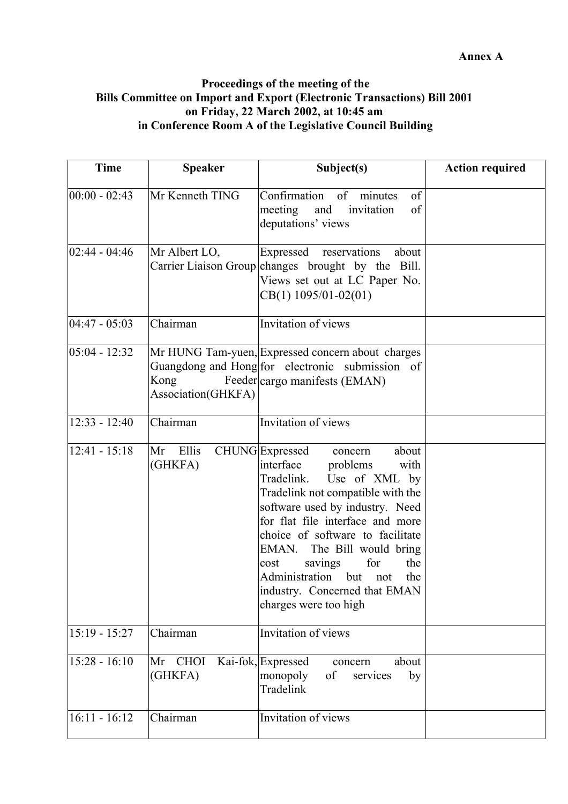#### **Proceedings of the meeting of the Bills Committee on Import and Export (Electronic Transactions) Bill 2001 on Friday, 22 March 2002, at 10:45 am in Conference Room A of the Legislative Council Building**

| <b>Time</b>       | <b>Speaker</b>             | Subject(s)                                                                                                                                                                                                                                                                                                                                                                                                                 | <b>Action required</b> |
|-------------------|----------------------------|----------------------------------------------------------------------------------------------------------------------------------------------------------------------------------------------------------------------------------------------------------------------------------------------------------------------------------------------------------------------------------------------------------------------------|------------------------|
| $ 00:00 - 02:43 $ | Mr Kenneth TING            | Confirmation<br>of<br>of<br>minutes<br>of<br>invitation<br>meeting<br>and<br>deputations' views                                                                                                                                                                                                                                                                                                                            |                        |
| $02:44 - 04:46$   | Mr Albert LO,              | Expressed<br>reservations<br>about<br>Carrier Liaison Group changes brought by the Bill.<br>Views set out at LC Paper No.<br>$CB(1)$ 1095/01-02(01)                                                                                                                                                                                                                                                                        |                        |
| $04:47 - 05:03$   | Chairman                   | Invitation of views                                                                                                                                                                                                                                                                                                                                                                                                        |                        |
| $05:04 - 12:32$   | Kong<br>Association(GHKFA) | Mr HUNG Tam-yuen, Expressed concern about charges<br>Guangdong and Hong for electronic submission of<br>Feeder cargo manifests (EMAN)                                                                                                                                                                                                                                                                                      |                        |
| $12:33 - 12:40$   | Chairman                   | Invitation of views                                                                                                                                                                                                                                                                                                                                                                                                        |                        |
| $12:41 - 15:18$   | Ellis<br>Mr<br>(GHKFA)     | <b>CHUNG</b> Expressed<br>about<br>concern<br>interface<br>problems<br>with<br>Use of XML by<br>Tradelink.<br>Tradelink not compatible with the<br>software used by industry. Need<br>for flat file interface and more<br>choice of software to facilitate<br>EMAN. The Bill would bring<br>for<br>the<br>cost<br>savings<br>Administration<br>but<br>the<br>not<br>industry. Concerned that EMAN<br>charges were too high |                        |
| $15:19 - 15:27$   | Chairman                   | Invitation of views                                                                                                                                                                                                                                                                                                                                                                                                        |                        |
| $15:28 - 16:10$   | Mr CHOI<br>(GHKFA)         | Kai-fok, Expressed<br>about<br>concern<br>monopoly<br>of<br>services<br>by<br>Tradelink                                                                                                                                                                                                                                                                                                                                    |                        |
| $16:11 - 16:12$   | Chairman                   | Invitation of views                                                                                                                                                                                                                                                                                                                                                                                                        |                        |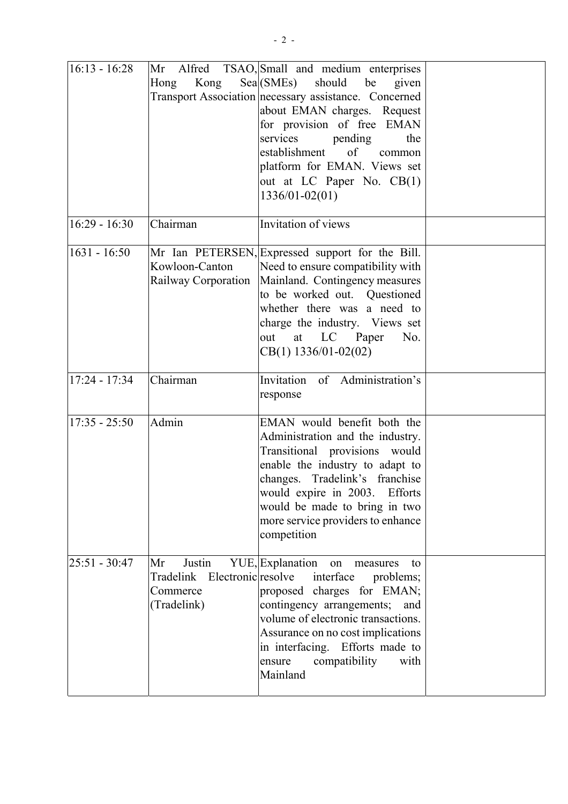| $16:13 - 16:28$ | Alfred<br>Mr<br>Hong<br>Kong                                            | TSAO, Small and medium enterprises<br>$\text{Sea}(\text{SMEs})$<br>should be<br>given<br>Transport Association necessary assistance. Concerned<br>about EMAN charges. Request<br>for provision of free EMAN<br>services<br>pending<br>the<br>$\sigma$<br>establishment<br>common<br>platform for EMAN. Views set<br>out at LC Paper No. CB(1)<br>$1336/01 - 02(01)$ |  |
|-----------------|-------------------------------------------------------------------------|---------------------------------------------------------------------------------------------------------------------------------------------------------------------------------------------------------------------------------------------------------------------------------------------------------------------------------------------------------------------|--|
| $16:29 - 16:30$ | Chairman                                                                | Invitation of views                                                                                                                                                                                                                                                                                                                                                 |  |
| $1631 - 16:50$  | Kowloon-Canton<br>Railway Corporation                                   | Mr Ian PETERSEN, Expressed support for the Bill.<br>Need to ensure compatibility with<br>Mainland. Contingency measures<br>to be worked out. Questioned<br>whether there was a need to<br>charge the industry. Views set<br>at LC Paper<br>No.<br>out<br>$CB(1)$ 1336/01-02(02)                                                                                     |  |
| $17:24 - 17:34$ | Chairman                                                                | Invitation of Administration's<br>response                                                                                                                                                                                                                                                                                                                          |  |
| $17:35 - 25:50$ | Admin                                                                   | EMAN would benefit both the<br>Administration and the industry.<br>Transitional provisions would<br>enable the industry to adapt to<br>changes. Tradelink's franchise<br>would expire in 2003. Efforts<br>would be made to bring in two<br>more service providers to enhance<br>competition                                                                         |  |
| $25:51 - 30:47$ | Justin<br>Mr<br>Tradelink Electronic resolve<br>Commerce<br>(Tradelink) | YUE, Explanation on<br>measures<br>to<br>interface<br>problems;<br>proposed charges for EMAN;<br>contingency arrangements;<br>and<br>volume of electronic transactions.<br>Assurance on no cost implications<br>in interfacing. Efforts made to<br>compatibility<br>with<br>ensure<br>Mainland                                                                      |  |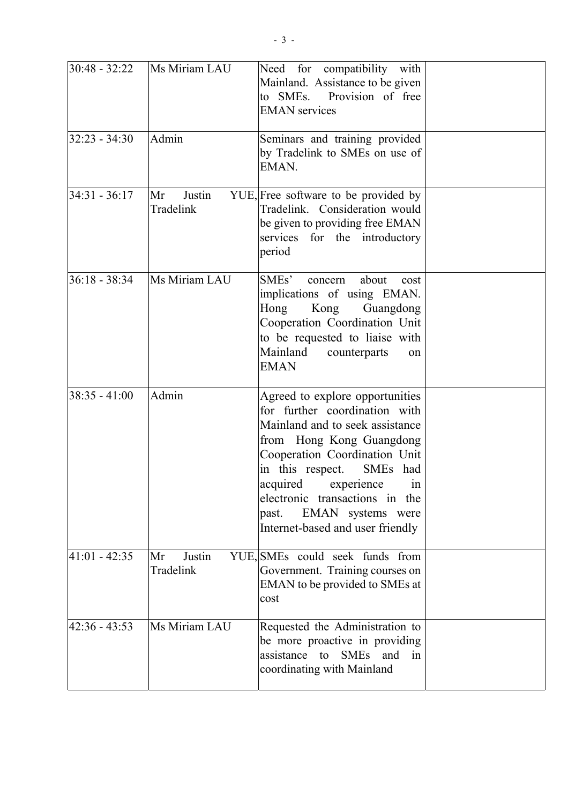| $30:48 - 32:22$ | Ms Miriam LAU             | Need for compatibility with<br>Mainland. Assistance to be given<br>to SMEs.<br>Provision of free<br><b>EMAN</b> services                                                                                                                                                                                                       |  |
|-----------------|---------------------------|--------------------------------------------------------------------------------------------------------------------------------------------------------------------------------------------------------------------------------------------------------------------------------------------------------------------------------|--|
| $32:23 - 34:30$ | Admin                     | Seminars and training provided<br>by Tradelink to SMEs on use of<br>EMAN.                                                                                                                                                                                                                                                      |  |
| $34:31 - 36:17$ | Justin<br>Mr<br>Tradelink | YUE, Free software to be provided by<br>Tradelink. Consideration would<br>be given to providing free EMAN<br>services for the introductory<br>period                                                                                                                                                                           |  |
| $36:18 - 38:34$ | Ms Miriam LAU             | SMEs'<br>about<br>concern<br>cost<br>implications of using EMAN.<br>Hong<br>Kong<br>Guangdong<br>Cooperation Coordination Unit<br>to be requested to liaise with<br>Mainland<br>counterparts<br>on<br><b>EMAN</b>                                                                                                              |  |
| $38:35 - 41:00$ | Admin                     | Agreed to explore opportunities<br>for further coordination with<br>Mainland and to seek assistance<br>from Hong Kong Guangdong<br>Cooperation Coordination Unit<br>in this respect. SMEs had<br>acquired experience<br>1n<br>electronic transactions in the<br>EMAN systems were<br>past.<br>Internet-based and user friendly |  |
| $41:01 - 42:35$ | Justin<br>Mr<br>Tradelink | YUE, SMEs could seek funds from<br>Government. Training courses on<br>EMAN to be provided to SMEs at<br>cost                                                                                                                                                                                                                   |  |
| $42:36 - 43:53$ | Ms Miriam LAU             | Requested the Administration to<br>be more proactive in providing<br>assistance to SMEs and<br>in<br>coordinating with Mainland                                                                                                                                                                                                |  |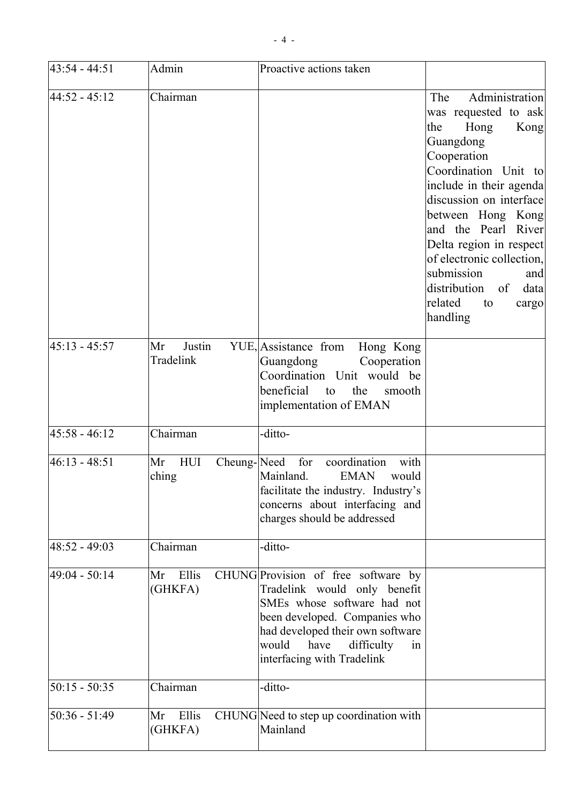| $43:54 - 44:51$ | Admin                             | Proactive actions taken                                                                                                                                                                                                                    |                                                                                                                                                                                                                                                                                                                                                                             |
|-----------------|-----------------------------------|--------------------------------------------------------------------------------------------------------------------------------------------------------------------------------------------------------------------------------------------|-----------------------------------------------------------------------------------------------------------------------------------------------------------------------------------------------------------------------------------------------------------------------------------------------------------------------------------------------------------------------------|
| $44:52 - 45:12$ | Chairman                          |                                                                                                                                                                                                                                            | Administration<br>The<br>was requested to ask<br>the<br>Hong<br>Kong<br>Guangdong<br>Cooperation<br>Coordination Unit to<br>include in their agenda<br>discussion on interface<br>between Hong Kong<br>and the Pearl River<br>Delta region in respect<br>of electronic collection,<br>submission<br>and<br>distribution<br>data<br>of<br>related<br>to<br>cargo<br>handling |
| $45:13 - 45:57$ | Justin<br>Mr<br>Tradelink         | YUE, Assistance from<br>Hong Kong<br>Guangdong<br>Cooperation<br>Coordination Unit would be<br>beneficial<br>the<br>to<br>smooth<br>implementation of EMAN                                                                                 |                                                                                                                                                                                                                                                                                                                                                                             |
| $45:58 - 46:12$ | Chairman                          | -ditto-                                                                                                                                                                                                                                    |                                                                                                                                                                                                                                                                                                                                                                             |
| $46:13 - 48:51$ | Cheung-Need<br>Mr<br>HUI<br>ching | coordination<br>with<br>for<br>Mainland.<br><b>EMAN</b><br>would<br>facilitate the industry. Industry's<br>concerns about interfacing and<br>charges should be addressed                                                                   |                                                                                                                                                                                                                                                                                                                                                                             |
| $48:52 - 49:03$ | Chairman                          | -ditto-                                                                                                                                                                                                                                    |                                                                                                                                                                                                                                                                                                                                                                             |
| $49:04 - 50:14$ | Ellis<br>Mr<br>(GHKFA)            | CHUNG Provision of free software by<br>Tradelink would only benefit<br>SMEs whose software had not<br>been developed. Companies who<br>had developed their own software<br>would<br>have<br>difficulty<br>in<br>interfacing with Tradelink |                                                                                                                                                                                                                                                                                                                                                                             |
| $50:15 - 50:35$ | Chairman                          | -ditto-                                                                                                                                                                                                                                    |                                                                                                                                                                                                                                                                                                                                                                             |
| $50:36 - 51:49$ | Ellis<br>Mr<br>(GHKFA)            | CHUNG Need to step up coordination with<br>Mainland                                                                                                                                                                                        |                                                                                                                                                                                                                                                                                                                                                                             |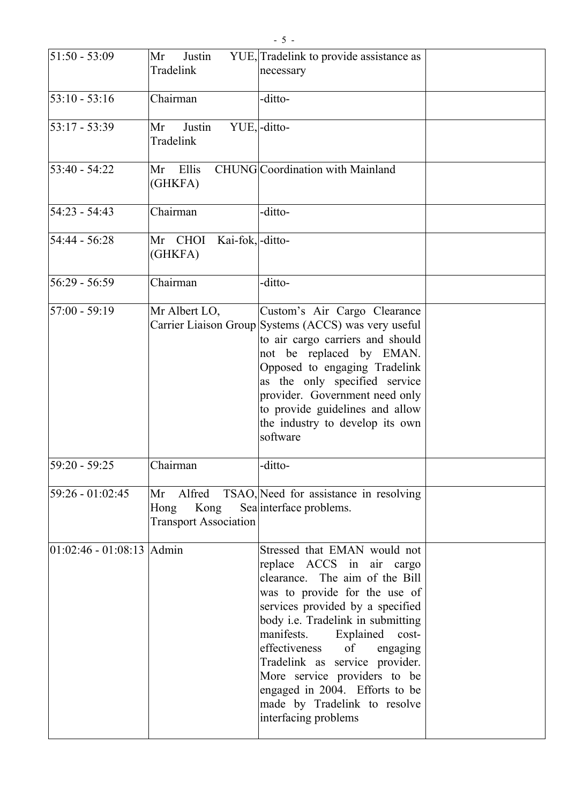| $51:50 - 53:09$              | Justin<br>Mr<br>Tradelink                                 | YUE, Tradelink to provide assistance as<br>necessary                                                                                                                                                                                                                                                                                                                                                                                     |  |
|------------------------------|-----------------------------------------------------------|------------------------------------------------------------------------------------------------------------------------------------------------------------------------------------------------------------------------------------------------------------------------------------------------------------------------------------------------------------------------------------------------------------------------------------------|--|
| $53:10 - 53:16$              | Chairman                                                  | -ditto-                                                                                                                                                                                                                                                                                                                                                                                                                                  |  |
| $53:17 - 53:39$              | Justin<br>Mr<br>Tradelink                                 | YUE,-ditto-                                                                                                                                                                                                                                                                                                                                                                                                                              |  |
| $53:40 - 54:22$              | Ellis<br>Mr<br>(GHKFA)                                    | <b>CHUNG</b> Coordination with Mainland                                                                                                                                                                                                                                                                                                                                                                                                  |  |
| $54:23 - 54:43$              | Chairman                                                  | -ditto-                                                                                                                                                                                                                                                                                                                                                                                                                                  |  |
| $54:44 - 56:28$              | Kai-fok,-ditto-<br>Mr CHOI<br>(GHKFA)                     |                                                                                                                                                                                                                                                                                                                                                                                                                                          |  |
| $56:29 - 56:59$              | Chairman                                                  | -ditto-                                                                                                                                                                                                                                                                                                                                                                                                                                  |  |
| $57:00 - 59:19$              | Mr Albert LO,                                             | Custom's Air Cargo Clearance<br>Carrier Liaison Group Systems (ACCS) was very useful<br>to air cargo carriers and should<br>not be replaced by EMAN.<br>Opposed to engaging Tradelink<br>as the only specified service<br>provider. Government need only<br>to provide guidelines and allow<br>the industry to develop its own<br>software                                                                                               |  |
| $59:20 - 59:25$              | Chairman                                                  | -ditto-                                                                                                                                                                                                                                                                                                                                                                                                                                  |  |
| $59:26 - 01:02:45$           | Mr Alfred<br>Hong<br>Kong<br><b>Transport Association</b> | TSAO, Need for assistance in resolving<br>Sea interface problems.                                                                                                                                                                                                                                                                                                                                                                        |  |
| $ 01:02:46 - 01:08:13$ Admin |                                                           | Stressed that EMAN would not<br>replace ACCS in air cargo<br>clearance. The aim of the Bill<br>was to provide for the use of<br>services provided by a specified<br>body i.e. Tradelink in submitting<br>manifests.<br>Explained<br>cost-<br>effectiveness<br>of<br>engaging<br>Tradelink as service provider.<br>More service providers to be<br>engaged in 2004. Efforts to be<br>made by Tradelink to resolve<br>interfacing problems |  |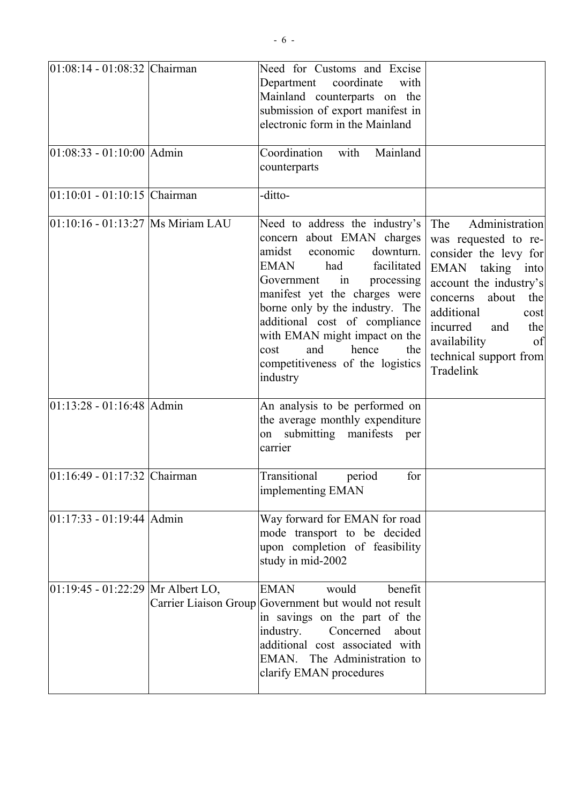| $01:08:14 - 01:08:32$ Chairman        | Need for Customs and Excise<br>coordinate<br>Department<br>with<br>Mainland counterparts on the<br>submission of export manifest in<br>electronic form in the Mainland                                                                                                                                                                                                                   |                                                                                                                                                                                                                                                               |
|---------------------------------------|------------------------------------------------------------------------------------------------------------------------------------------------------------------------------------------------------------------------------------------------------------------------------------------------------------------------------------------------------------------------------------------|---------------------------------------------------------------------------------------------------------------------------------------------------------------------------------------------------------------------------------------------------------------|
| $ 01:08:33 - 01:10:00 $ Admin         | Coordination<br>with<br>Mainland<br>counterparts                                                                                                                                                                                                                                                                                                                                         |                                                                                                                                                                                                                                                               |
| $01:10:01 - 01:10:15$ Chairman        | -ditto-                                                                                                                                                                                                                                                                                                                                                                                  |                                                                                                                                                                                                                                                               |
| 01:10:16 - 01:13:27  Ms Miriam LAU    | Need to address the industry's<br>concern about EMAN charges<br>amidst economic<br>downturn.<br><b>EMAN</b><br>facilitated<br>had<br>Government<br>in<br>processing<br>manifest yet the charges were<br>borne only by the industry. The<br>additional cost of compliance<br>with EMAN might impact on the<br>hence<br>and<br>the<br>cost<br>competitiveness of the logistics<br>industry | Administration<br>The<br>was requested to re-<br>consider the levy for<br>EMAN taking into<br>account the industry's<br>about<br>concerns<br>the<br>additional<br>cost<br>incurred<br>the<br>and<br>availability<br>of<br>technical support from<br>Tradelink |
| $01:13:28 - 01:16:48$ Admin           | An analysis to be performed on<br>the average monthly expenditure<br>submitting manifests<br>on<br>per<br>carrier                                                                                                                                                                                                                                                                        |                                                                                                                                                                                                                                                               |
| 01:16:49 - 01:17:32 Chairman          | Transitional<br>for<br>period<br>implementing EMAN                                                                                                                                                                                                                                                                                                                                       |                                                                                                                                                                                                                                                               |
| $01:17:33 - 01:19:44$ Admin           | Way forward for EMAN for road<br>mode transport to be decided<br>upon completion of feasibility<br>study in mid-2002                                                                                                                                                                                                                                                                     |                                                                                                                                                                                                                                                               |
| $ 01:19:45 - 01:22:29 $ Mr Albert LO, | <b>EMAN</b><br>would<br>benefit<br>Carrier Liaison Group Government but would not result<br>in savings on the part of the<br>industry.<br>Concerned<br>about<br>additional cost associated with<br>EMAN. The Administration to<br>clarify EMAN procedures                                                                                                                                |                                                                                                                                                                                                                                                               |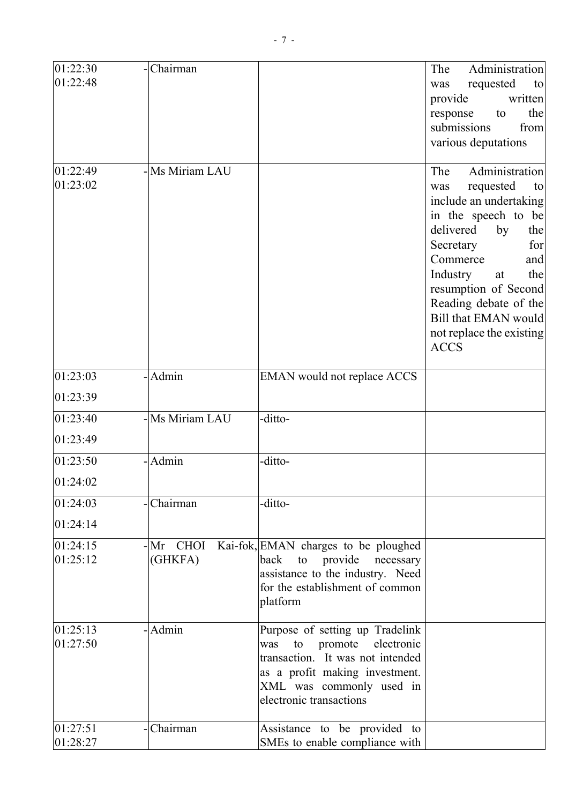| 01:22:48<br>requested<br>was<br>to<br>provide<br>the<br>response<br>to<br>submissions<br>from<br>various deputations<br>-Ms Miriam LAU<br>01:22:49<br>The<br>01:23:02<br>requested<br>was<br>to<br>delivered<br>by<br>the<br>Secretary<br>for<br>Commerce<br>and<br>Industry<br>the<br>at<br><b>ACCS</b><br>- Admin<br>01:23:03<br>EMAN would not replace ACCS<br>01:23:39<br>-Ms Miriam LAU<br>01:23:40<br>-ditto-<br>01:23:49<br>- Admin<br>-ditto-<br>01:23:50<br>01:24:02<br>-Chairman<br>01:24:03<br>-ditto-<br>01:24:14<br>01:24:15<br>$-Mr$ CHOI<br>Kai-fok, EMAN charges to be ploughed<br>01:25:12<br>(GHKFA)<br>provide<br>back<br>to<br>necessary<br>assistance to the industry. Need<br>for the establishment of common<br>platform<br>-Admin<br>Purpose of setting up Tradelink<br>01:25:13<br>01:27:50<br>electronic<br>promote<br>was<br>to<br>transaction. It was not intended<br>as a profit making investment.<br>XML was commonly used in<br>electronic transactions<br>01:27:51<br>-Chairman<br>Assistance to be provided to<br>01:28:27<br>SMEs to enable compliance with | 01:22:30 | -Chairman | Administration<br>The |
|------------------------------------------------------------------------------------------------------------------------------------------------------------------------------------------------------------------------------------------------------------------------------------------------------------------------------------------------------------------------------------------------------------------------------------------------------------------------------------------------------------------------------------------------------------------------------------------------------------------------------------------------------------------------------------------------------------------------------------------------------------------------------------------------------------------------------------------------------------------------------------------------------------------------------------------------------------------------------------------------------------------------------------------------------------------------------------------------|----------|-----------|-----------------------|
| written<br>Administration<br>include an undertaking<br>in the speech to be<br>Reading debate of the<br>not replace the existing                                                                                                                                                                                                                                                                                                                                                                                                                                                                                                                                                                                                                                                                                                                                                                                                                                                                                                                                                                |          |           |                       |
|                                                                                                                                                                                                                                                                                                                                                                                                                                                                                                                                                                                                                                                                                                                                                                                                                                                                                                                                                                                                                                                                                                |          |           |                       |
|                                                                                                                                                                                                                                                                                                                                                                                                                                                                                                                                                                                                                                                                                                                                                                                                                                                                                                                                                                                                                                                                                                |          |           |                       |
| resumption of Second<br>Bill that EMAN would                                                                                                                                                                                                                                                                                                                                                                                                                                                                                                                                                                                                                                                                                                                                                                                                                                                                                                                                                                                                                                                   |          |           |                       |
|                                                                                                                                                                                                                                                                                                                                                                                                                                                                                                                                                                                                                                                                                                                                                                                                                                                                                                                                                                                                                                                                                                |          |           |                       |
|                                                                                                                                                                                                                                                                                                                                                                                                                                                                                                                                                                                                                                                                                                                                                                                                                                                                                                                                                                                                                                                                                                |          |           |                       |
|                                                                                                                                                                                                                                                                                                                                                                                                                                                                                                                                                                                                                                                                                                                                                                                                                                                                                                                                                                                                                                                                                                |          |           |                       |
|                                                                                                                                                                                                                                                                                                                                                                                                                                                                                                                                                                                                                                                                                                                                                                                                                                                                                                                                                                                                                                                                                                |          |           |                       |
|                                                                                                                                                                                                                                                                                                                                                                                                                                                                                                                                                                                                                                                                                                                                                                                                                                                                                                                                                                                                                                                                                                |          |           |                       |
|                                                                                                                                                                                                                                                                                                                                                                                                                                                                                                                                                                                                                                                                                                                                                                                                                                                                                                                                                                                                                                                                                                |          |           |                       |
|                                                                                                                                                                                                                                                                                                                                                                                                                                                                                                                                                                                                                                                                                                                                                                                                                                                                                                                                                                                                                                                                                                |          |           |                       |
|                                                                                                                                                                                                                                                                                                                                                                                                                                                                                                                                                                                                                                                                                                                                                                                                                                                                                                                                                                                                                                                                                                |          |           |                       |
|                                                                                                                                                                                                                                                                                                                                                                                                                                                                                                                                                                                                                                                                                                                                                                                                                                                                                                                                                                                                                                                                                                |          |           |                       |
|                                                                                                                                                                                                                                                                                                                                                                                                                                                                                                                                                                                                                                                                                                                                                                                                                                                                                                                                                                                                                                                                                                |          |           |                       |
|                                                                                                                                                                                                                                                                                                                                                                                                                                                                                                                                                                                                                                                                                                                                                                                                                                                                                                                                                                                                                                                                                                |          |           |                       |
|                                                                                                                                                                                                                                                                                                                                                                                                                                                                                                                                                                                                                                                                                                                                                                                                                                                                                                                                                                                                                                                                                                |          |           |                       |
|                                                                                                                                                                                                                                                                                                                                                                                                                                                                                                                                                                                                                                                                                                                                                                                                                                                                                                                                                                                                                                                                                                |          |           |                       |
|                                                                                                                                                                                                                                                                                                                                                                                                                                                                                                                                                                                                                                                                                                                                                                                                                                                                                                                                                                                                                                                                                                |          |           |                       |
|                                                                                                                                                                                                                                                                                                                                                                                                                                                                                                                                                                                                                                                                                                                                                                                                                                                                                                                                                                                                                                                                                                |          |           |                       |
|                                                                                                                                                                                                                                                                                                                                                                                                                                                                                                                                                                                                                                                                                                                                                                                                                                                                                                                                                                                                                                                                                                |          |           |                       |
|                                                                                                                                                                                                                                                                                                                                                                                                                                                                                                                                                                                                                                                                                                                                                                                                                                                                                                                                                                                                                                                                                                |          |           |                       |
|                                                                                                                                                                                                                                                                                                                                                                                                                                                                                                                                                                                                                                                                                                                                                                                                                                                                                                                                                                                                                                                                                                |          |           |                       |
|                                                                                                                                                                                                                                                                                                                                                                                                                                                                                                                                                                                                                                                                                                                                                                                                                                                                                                                                                                                                                                                                                                |          |           |                       |
|                                                                                                                                                                                                                                                                                                                                                                                                                                                                                                                                                                                                                                                                                                                                                                                                                                                                                                                                                                                                                                                                                                |          |           |                       |
|                                                                                                                                                                                                                                                                                                                                                                                                                                                                                                                                                                                                                                                                                                                                                                                                                                                                                                                                                                                                                                                                                                |          |           |                       |
|                                                                                                                                                                                                                                                                                                                                                                                                                                                                                                                                                                                                                                                                                                                                                                                                                                                                                                                                                                                                                                                                                                |          |           |                       |
|                                                                                                                                                                                                                                                                                                                                                                                                                                                                                                                                                                                                                                                                                                                                                                                                                                                                                                                                                                                                                                                                                                |          |           |                       |
|                                                                                                                                                                                                                                                                                                                                                                                                                                                                                                                                                                                                                                                                                                                                                                                                                                                                                                                                                                                                                                                                                                |          |           |                       |
|                                                                                                                                                                                                                                                                                                                                                                                                                                                                                                                                                                                                                                                                                                                                                                                                                                                                                                                                                                                                                                                                                                |          |           |                       |
|                                                                                                                                                                                                                                                                                                                                                                                                                                                                                                                                                                                                                                                                                                                                                                                                                                                                                                                                                                                                                                                                                                |          |           |                       |
|                                                                                                                                                                                                                                                                                                                                                                                                                                                                                                                                                                                                                                                                                                                                                                                                                                                                                                                                                                                                                                                                                                |          |           |                       |
|                                                                                                                                                                                                                                                                                                                                                                                                                                                                                                                                                                                                                                                                                                                                                                                                                                                                                                                                                                                                                                                                                                |          |           |                       |
|                                                                                                                                                                                                                                                                                                                                                                                                                                                                                                                                                                                                                                                                                                                                                                                                                                                                                                                                                                                                                                                                                                |          |           |                       |
|                                                                                                                                                                                                                                                                                                                                                                                                                                                                                                                                                                                                                                                                                                                                                                                                                                                                                                                                                                                                                                                                                                |          |           |                       |
|                                                                                                                                                                                                                                                                                                                                                                                                                                                                                                                                                                                                                                                                                                                                                                                                                                                                                                                                                                                                                                                                                                |          |           |                       |
|                                                                                                                                                                                                                                                                                                                                                                                                                                                                                                                                                                                                                                                                                                                                                                                                                                                                                                                                                                                                                                                                                                |          |           |                       |
|                                                                                                                                                                                                                                                                                                                                                                                                                                                                                                                                                                                                                                                                                                                                                                                                                                                                                                                                                                                                                                                                                                |          |           |                       |
|                                                                                                                                                                                                                                                                                                                                                                                                                                                                                                                                                                                                                                                                                                                                                                                                                                                                                                                                                                                                                                                                                                |          |           |                       |
|                                                                                                                                                                                                                                                                                                                                                                                                                                                                                                                                                                                                                                                                                                                                                                                                                                                                                                                                                                                                                                                                                                |          |           |                       |
|                                                                                                                                                                                                                                                                                                                                                                                                                                                                                                                                                                                                                                                                                                                                                                                                                                                                                                                                                                                                                                                                                                |          |           |                       |
|                                                                                                                                                                                                                                                                                                                                                                                                                                                                                                                                                                                                                                                                                                                                                                                                                                                                                                                                                                                                                                                                                                |          |           |                       |
|                                                                                                                                                                                                                                                                                                                                                                                                                                                                                                                                                                                                                                                                                                                                                                                                                                                                                                                                                                                                                                                                                                |          |           |                       |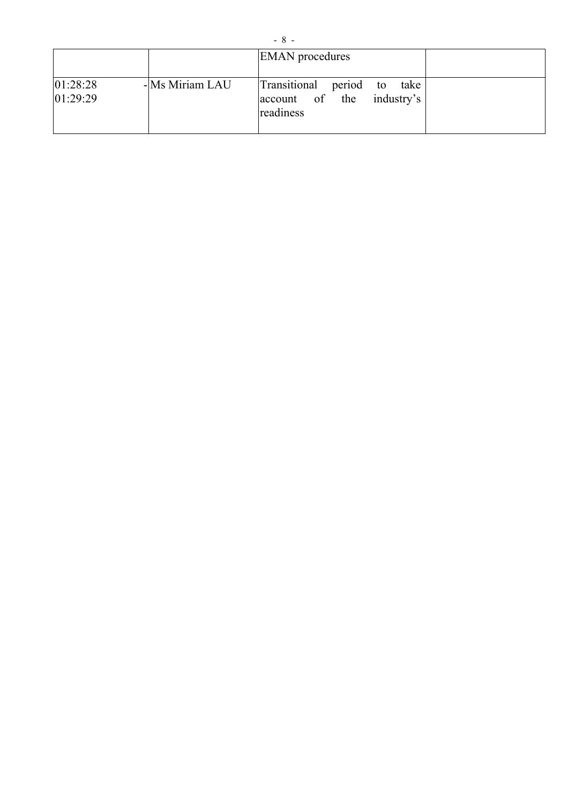|                      |                | <b>EMAN</b> procedures                                                            |  |
|----------------------|----------------|-----------------------------------------------------------------------------------|--|
| 01:28:28<br>01:29:29 | -Ms Miriam LAU | Transitional<br>period<br>take<br>to<br>industry's<br>account of the<br>readiness |  |